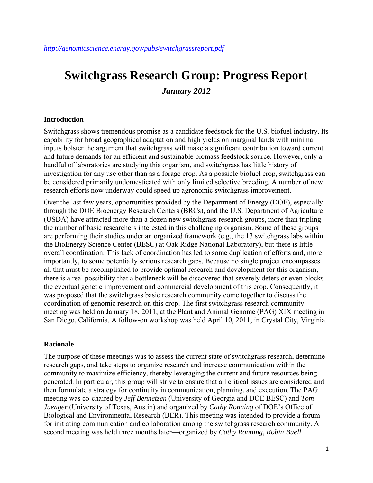# **Switchgrass Research Group: Progress Report**  *January 2012*

#### **Introduction**

Switchgrass shows tremendous promise as a candidate feedstock for the U.S. biofuel industry. Its capability for broad geographical adaptation and high yields on marginal lands with minimal inputs bolster the argument that switchgrass will make a significant contribution toward current and future demands for an efficient and sustainable biomass feedstock source. However, only a handful of laboratories are studying this organism, and switchgrass has little history of investigation for any use other than as a forage crop. As a possible biofuel crop, switchgrass can be considered primarily undomesticated with only limited selective breeding. A number of new research efforts now underway could speed up agronomic switchgrass improvement.

Over the last few years, opportunities provided by the Department of Energy (DOE), especially through the DOE Bioenergy Research Centers (BRCs), and the U.S. Department of Agriculture (USDA) have attracted more than a dozen new switchgrass research groups, more than tripling the number of basic researchers interested in this challenging organism. Some of these groups are performing their studies under an organized framework (e.g., the 13 switchgrass labs within the BioEnergy Science Center (BESC) at Oak Ridge National Laboratory), but there is little overall coordination. This lack of coordination has led to some duplication of efforts and, more importantly, to some potentially serious research gaps. Because no single project encompasses all that must be accomplished to provide optimal research and development for this organism, there is a real possibility that a bottleneck will be discovered that severely deters or even blocks the eventual genetic improvement and commercial development of this crop. Consequently, it was proposed that the switchgrass basic research community come together to discuss the coordination of genomic research on this crop. The first switchgrass research community meeting was held on January 18, 2011, at the Plant and Animal Genome (PAG) XIX meeting in San Diego, California. A follow-on workshop was held April 10, 2011, in Crystal City, Virginia.

#### **Rationale**

The purpose of these meetings was to assess the current state of switchgrass research, determine research gaps, and take steps to organize research and increase communication within the community to maximize efficiency, thereby leveraging the current and future resources being generated. In particular, this group will strive to ensure that all critical issues are considered and then formulate a strategy for continuity in communication, planning, and execution. The PAG meeting was co-chaired by *Jeff Bennetzen* (University of Georgia and DOE BESC) and *Tom Juenger* (University of Texas, Austin) and organized by *Cathy Ronning* of DOE's Office of Biological and Environmental Research (BER). This meeting was intended to provide a forum for initiating communication and collaboration among the switchgrass research community. A second meeting was held three months later—organized by *Cathy Ronning*, *Robin Buell*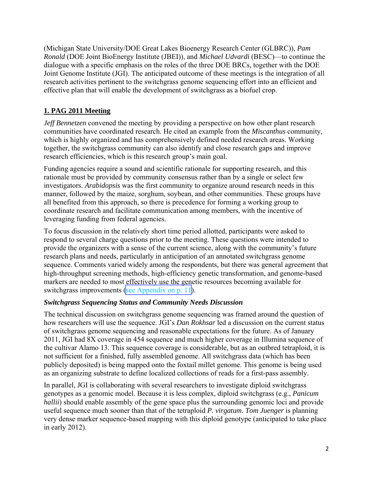(Michigan State University/DOE Great Lakes Bioenergy Research Center (GLBRC)), *Pam Ronald* (DOE Joint BioEnergy Institute (JBEI)), and *Michael Udvardi* (BESC)—to continue the dialogue with a specific emphasis on the roles of the three DOE BRCs, together with the DOE Joint Genome Institute (JGI). The anticipated outcome of these meetings is the integration of all research activities pertinent to the switchgrass genome sequencing effort into an efficient and effective plan that will enable the development of switchgrass as a biofuel crop.

## **1. PAG 2011 Meeting**

*Jeff Bennetzen* convened the meeting by providing a perspective on how other plant research communities have coordinated research. He cited an example from the *Miscanthus* community, which is highly organized and has comprehensively defined needed research areas. Working together, the switchgrass community can also identify and close research gaps and improve research efficiencies, which is this research group's main goal.

Funding agencies require a sound and scientific rationale for supporting research, and this rationale must be provided by community consensus rather than by a single or select few investigators. *Arabidopsis* was the first community to organize around research needs in this manner, followed by the maize, sorghum, soybean, and other communities. These groups have all benefited from this approach, so there is precedence for forming a working group to coordinate research and facilitate communication among members, with the incentive of leveraging funding from federal agencies.

To focus discussion in the relatively short time period allotted, participants were asked to respond to several charge questions prior to the meeting. These questions were intended to provide the organizers with a sense of the current science, along with the community's future research plans and needs, particularly in anticipation of an annotated switchgrass genome sequence. Comments varied widely among the respondents, but there was general agreement that high-throughput screening methods, high-efficiency genetic transformation, and genome-based markers are needed to most effectively use the genetic resources becoming available for switchgrass improvements ([see Appendix on p. 11](#page-10-0)).

## *Switchgrass Sequencing Status and Community Needs Discussion*

The technical discussion on switchgrass genome sequencing was framed around the question of how researchers will use the sequence. JGI's *Dan Rokhsar* led a discussion on the current status of switchgrass genome sequencing and reasonable expectations for the future. As of January 2011, JGI had 8X coverage in 454 sequence and much higher coverage in Illumina sequence of the cultivar Alamo 13. This sequence coverage is considerable, but as an outbred tetraploid, it is not sufficient for a finished, fully assembled genome. All switchgrass data (which has been publicly deposited) is being mapped onto the foxtail millet genome. This genome is being used as an organizing substrate to define localized collections of reads for a first-pass assembly.

In parallel, JGI is collaborating with several researchers to investigate diploid switchgrass genotypes as a genomic model. Because it is less complex, diploid switchgrass (e.g., *Panicum hallii*) should enable assembly of the gene space plus the surrounding genomic loci and provide useful sequence much sooner than that of the tetraploid *P. virgatum*. *Tom Juenger* is planning very dense marker sequence-based mapping with this diploid genotype (anticipated to take place in early 2012).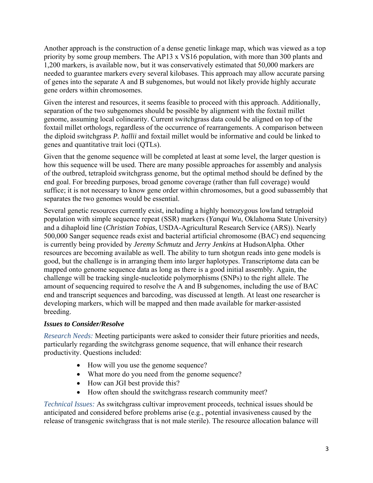Another approach is the construction of a dense genetic linkage map, which was viewed as a top priority by some group members. The AP13 x VS16 population, with more than 300 plants and 1,200 markers, is available now, but it was conservatively estimated that 50,000 markers are needed to guarantee markers every several kilobases. This approach may allow accurate parsing of genes into the separate A and B subgenomes, but would not likely provide highly accurate gene orders within chromosomes.

Given the interest and resources, it seems feasible to proceed with this approach. Additionally, separation of the two subgenomes should be possible by alignment with the foxtail millet genome, assuming local colinearity. Current switchgrass data could be aligned on top of the foxtail millet orthologs, regardless of the occurrence of rearrangements. A comparison between the diploid switchgrass *P. hallii* and foxtail millet would be informative and could be linked to genes and quantitative trait loci (QTLs).

Given that the genome sequence will be completed at least at some level, the larger question is how this sequence will be used. There are many possible approaches for assembly and analysis of the outbred, tetraploid switchgrass genome, but the optimal method should be defined by the end goal. For breeding purposes, broad genome coverage (rather than full coverage) would suffice; it is not necessary to know gene order within chromosomes, but a good subassembly that separates the two genomes would be essential.

Several genetic resources currently exist, including a highly homozygous lowland tetraploid population with simple sequence repeat (SSR) markers (*Yanqui Wu*, Oklahoma State University) and a dihaploid line (*Christian Tobias*, USDA-Agricultural Research Service (ARS)). Nearly 500,000 Sanger sequence reads exist and bacterial artificial chromosome (BAC) end sequencing is currently being provided by *Jeremy Schmutz* and *Jerry Jenkins* at HudsonAlpha. Other resources are becoming available as well. The ability to turn shotgun reads into gene models is good, but the challenge is in arranging them into larger haplotypes. Transcriptome data can be mapped onto genome sequence data as long as there is a good initial assembly. Again, the challenge will be tracking single-nucleotide polymorphisms (SNPs) to the right allele. The amount of sequencing required to resolve the A and B subgenomes, including the use of BAC end and transcript sequences and barcoding, was discussed at length. At least one researcher is developing markers, which will be mapped and then made available for marker-assisted breeding.

## *Issues to Consider/Resolve*

*Research Needs:* Meeting participants were asked to consider their future priorities and needs, particularly regarding the switchgrass genome sequence, that will enhance their research productivity. Questions included:

- How will you use the genome sequence?
- What more do you need from the genome sequence?
- How can JGI best provide this?
- How often should the switchgrass research community meet?

*Technical Issues:* As switchgrass cultivar improvement proceeds, technical issues should be anticipated and considered before problems arise (e.g., potential invasiveness caused by the release of transgenic switchgrass that is not male sterile). The resource allocation balance will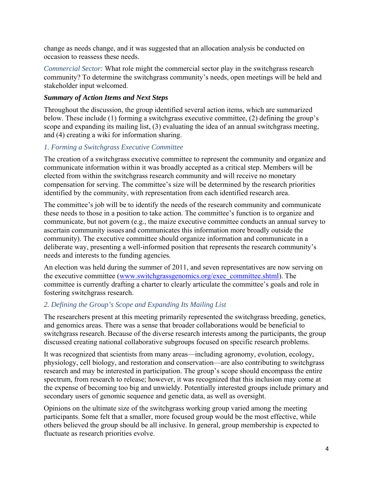change as needs change, and it was suggested that an allocation analysis be conducted on occasion to reassess these needs.

*Commercial Sector:* What role might the commercial sector play in the switchgrass research community? To determine the switchgrass community's needs, open meetings will be held and stakeholder input welcomed.

## *Summary of Action Items and Next Steps*

Throughout the discussion, the group identified several action items, which are summarized below. These include (1) forming a switchgrass executive committee, (2) defining the group's scope and expanding its mailing list, (3) evaluating the idea of an annual switchgrass meeting, and (4) creating a wiki for information sharing.

## *1. Forming a Switchgrass Executive Committee*

The creation of a switchgrass executive committee to represent the community and organize and communicate information within it was broadly accepted as a critical step. Members will be elected from within the switchgrass research community and will receive no monetary compensation for serving. The committee's size will be determined by the research priorities identified by the community, with representation from each identified research area.

The committee's job will be to identify the needs of the research community and communicate these needs to those in a position to take action. The committee's function is to organize and communicate, but not govern (e.g., the maize executive committee conducts an annual survey to ascertain community issues and communicates this information more broadly outside the community). The executive committee should organize information and communicate in a deliberate way, presenting a well-informed position that represents the research community's needs and interests to the funding agencies*.* 

An election was held during the summer of 2011, and seven representatives are now serving on the executive committee (www.switchgrassgenomics.org/exec\_committee.shtml). The committee is currently drafting a charter to clearly articulate the committee's goals and role in fostering switchgrass research.

## *2. Defining the Group's Scope and Expanding Its Mailing List*

The researchers present at this meeting primarily represented the switchgrass breeding, genetics, and genomics areas. There was a sense that broader collaborations would be beneficial to switchgrass research. Because of the diverse research interests among the participants, the group discussed creating national collaborative subgroups focused on specific research problems.

It was recognized that scientists from many areas—including agronomy, evolution, ecology, physiology, cell biology, and restoration and conservation—are also contributing to switchgrass research and may be interested in participation. The group's scope should encompass the entire spectrum, from research to release; however, it was recognized that this inclusion may come at the expense of becoming too big and unwieldy. Potentially interested groups include primary and secondary users of genomic sequence and genetic data, as well as oversight.

Opinions on the ultimate size of the switchgrass working group varied among the meeting participants. Some felt that a smaller, more focused group would be the most effective, while others believed the group should be all inclusive. In general, group membership is expected to fluctuate as research priorities evolve.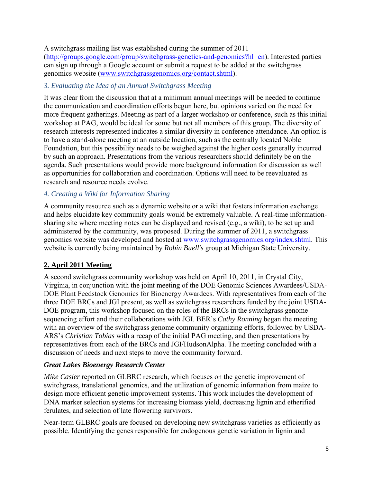A switchgrass mailing list was established during the summer of 2011 (http://groups.google.com/group/switchgrass-genetics-and-genomics?hl=en). Interested parties can sign up through a Google account or submit a request to be added at the switchgrass genomics website (www.switchgrassgenomics.org/contact.shtml).

## *3. Evaluating the Idea of an Annual Switchgrass Meeting*

It was clear from the discussion that at a minimum annual meetings will be needed to continue the communication and coordination efforts begun here, but opinions varied on the need for more frequent gatherings. Meeting as part of a larger workshop or conference, such as this initial workshop at PAG, would be ideal for some but not all members of this group. The diversity of research interests represented indicates a similar diversity in conference attendance. An option is to have a stand-alone meeting at an outside location, such as the centrally located Noble Foundation, but this possibility needs to be weighed against the higher costs generally incurred by such an approach. Presentations from the various researchers should definitely be on the agenda. Such presentations would provide more background information for discussion as well as opportunities for collaboration and coordination. Options will need to be reevaluated as research and resource needs evolve.

## *4. Creating a Wiki for Information Sharing*

A community resource such as a dynamic website or a wiki that fosters information exchange and helps elucidate key community goals would be extremely valuable. A real-time informationsharing site where meeting notes can be displayed and revised (e.g., a wiki), to be set up and administered by the community, was proposed. During the summer of 2011, a switchgrass genomics website was developed and hosted at www.switchgrassgenomics.org/index.shtml. This website is currently being maintained by *Robin Buell's* group at Michigan State University.

## **2. April 2011 Meeting**

A second switchgrass community workshop was held on April 10, 2011, in Crystal City, Virginia, in conjunction with the joint meeting of the DOE Genomic Sciences Awardees/USDA-DOE Plant Feedstock Genomics for Bioenergy Awardees. With representatives from each of the three DOE BRCs and JGI present, as well as switchgrass researchers funded by the joint USDA-DOE program, this workshop focused on the roles of the BRCs in the switchgrass genome sequencing effort and their collaborations with JGI. BER's *Cathy Ronning* began the meeting with an overview of the switchgrass genome community organizing efforts, followed by USDA-ARS's *Christian Tobias* with a recap of the initial PAG meeting, and then presentations by representatives from each of the BRCs and JGI/HudsonAlpha. The meeting concluded with a discussion of needs and next steps to move the community forward.

## *Great Lakes Bioenergy Research Center*

*Mike Casler* reported on GLBRC research, which focuses on the genetic improvement of switchgrass, translational genomics, and the utilization of genomic information from maize to design more efficient genetic improvement systems. This work includes the development of DNA marker selection systems for increasing biomass yield, decreasing lignin and etherified ferulates, and selection of late flowering survivors.

Near-term GLBRC goals are focused on developing new switchgrass varieties as efficiently as possible. Identifying the genes responsible for endogenous genetic variation in lignin and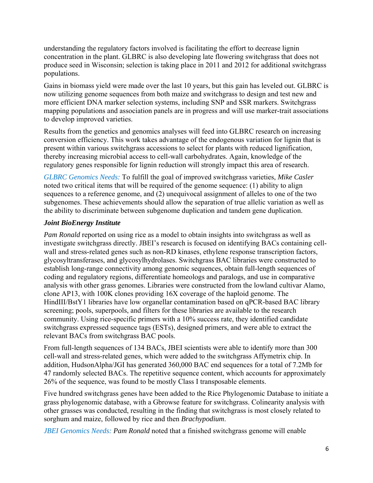understanding the regulatory factors involved is facilitating the effort to decrease lignin concentration in the plant. GLBRC is also developing late flowering switchgrass that does not produce seed in Wisconsin; selection is taking place in 2011 and 2012 for additional switchgrass populations.

Gains in biomass yield were made over the last 10 years, but this gain has leveled out. GLBRC is now utilizing genome sequences from both maize and switchgrass to design and test new and more efficient DNA marker selection systems, including SNP and SSR markers. Switchgrass mapping populations and association panels are in progress and will use marker-trait associations to develop improved varieties.

Results from the genetics and genomics analyses will feed into GLBRC research on increasing conversion efficiency. This work takes advantage of the endogenous variation for lignin that is present within various switchgrass accessions to select for plants with reduced lignification, thereby increasing microbial access to cell-wall carbohydrates. Again, knowledge of the regulatory genes responsible for lignin reduction will strongly impact this area of research.

*GLBRC Genomics Needs:* To fulfill the goal of improved switchgrass varieties, *Mike Casler* noted two critical items that will be required of the genome sequence: (1) ability to align sequences to a reference genome, and (2) unequivocal assignment of alleles to one of the two subgenomes. These achievements should allow the separation of true allelic variation as well as the ability to discriminate between subgenome duplication and tandem gene duplication.

## *Joint BioEnergy Institute*

*Pam Ronald* reported on using rice as a model to obtain insights into switchgrass as well as investigate switchgrass directly. JBEI's research is focused on identifying BACs containing cellwall and stress-related genes such as non-RD kinases, ethylene response transcription factors, glycosyltransferases, and glycosylhydrolases. Switchgrass BAC libraries were constructed to establish long-range connectivity among genomic sequences, obtain full-length sequences of coding and regulatory regions, differentiate homeologs and paralogs, and use in comparative analysis with other grass genomes. Libraries were constructed from the lowland cultivar Alamo, clone AP13, with 100K clones providing 16X coverage of the haploid genome. The HindIII/BstY1 libraries have low organellar contamination based on qPCR-based BAC library screening; pools, superpools, and filters for these libraries are available to the research community. Using rice-specific primers with a 10% success rate, they identified candidate switchgrass expressed sequence tags (ESTs), designed primers, and were able to extract the relevant BACs from switchgrass BAC pools.

From full-length sequences of 134 BACs, JBEI scientists were able to identify more than 300 cell-wall and stress-related genes, which were added to the switchgrass Affymetrix chip. In addition, HudsonAlpha/JGI has generated 360,000 BAC end sequences for a total of 7.2Mb for 47 randomly selected BACs. The repetitive sequence content, which accounts for approximately 26% of the sequence, was found to be mostly Class I transposable elements.

Five hundred switchgrass genes have been added to the Rice Phylogenomic Database to initiate a grass phylogenomic database, with a Gbrowse feature for switchgrass. Colinearity analysis with other grasses was conducted, resulting in the finding that switchgrass is most closely related to sorghum and maize, followed by rice and then *Brachypodium*.

*JBEI Genomics Needs: Pam Ronald* noted that a finished switchgrass genome will enable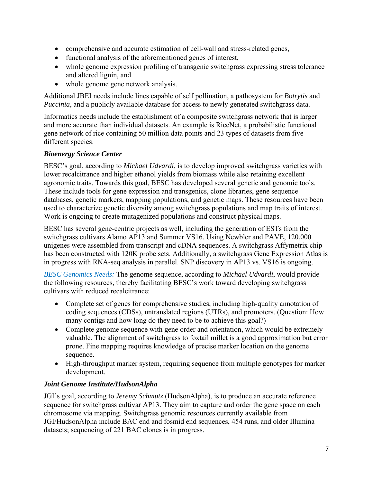- comprehensive and accurate estimation of cell-wall and stress-related genes,
- functional analysis of the aforementioned genes of interest,
- whole genome expression profiling of transgenic switchgrass expressing stress tolerance and altered lignin, and
- whole genome gene network analysis.

Additional JBEI needs include lines capable of self pollination, a pathosystem for *Botrytis* and *Puccinia*, and a publicly available database for access to newly generated switchgrass data.

Informatics needs include the establishment of a composite switchgrass network that is larger and more accurate than individual datasets. An example is RiceNet, a probabilistic functional gene network of rice containing 50 million data points and 23 types of datasets from five different species.

## *Bioenergy Science Center*

BESC's goal, according to *Michael Udvardi*, is to develop improved switchgrass varieties with lower recalcitrance and higher ethanol yields from biomass while also retaining excellent agronomic traits. Towards this goal, BESC has developed several genetic and genomic tools. These include tools for gene expression and transgenics, clone libraries, gene sequence databases, genetic markers, mapping populations, and genetic maps. These resources have been used to characterize genetic diversity among switchgrass populations and map traits of interest. Work is ongoing to create mutagenized populations and construct physical maps.

BESC has several gene-centric projects as well, including the generation of ESTs from the switchgrass cultivars Alamo AP13 and Summer VS16. Using Newbler and PAVE, 120,000 unigenes were assembled from transcript and cDNA sequences. A switchgrass Affymetrix chip has been constructed with 120K probe sets. Additionally, a switchgrass Gene Expression Atlas is in progress with RNA-seq analysis in parallel. SNP discovery in AP13 vs. VS16 is ongoing.

*BESC Genomics Needs:* The genome sequence, according to *Michael Udvardi*, would provide the following resources, thereby facilitating BESC's work toward developing switchgrass cultivars with reduced recalcitrance:

- Complete set of genes for comprehensive studies, including high-quality annotation of coding sequences (CDSs), untranslated regions (UTRs), and promoters. (Question: How many contigs and how long do they need to be to achieve this goal?)
- Complete genome sequence with gene order and orientation, which would be extremely valuable. The alignment of switchgrass to foxtail millet is a good approximation but error prone. Fine mapping requires knowledge of precise marker location on the genome sequence.
- High-throughput marker system, requiring sequence from multiple genotypes for marker development.

## *Joint Genome Institute/HudsonAlpha*

JGI's goal, according to *Jeremy Schmutz* (HudsonAlpha), is to produce an accurate reference sequence for switchgrass cultivar AP13. They aim to capture and order the gene space on each chromosome via mapping. Switchgrass genomic resources currently available from JGI/HudsonAlpha include BAC end and fosmid end sequences, 454 runs, and older Illumina datasets; sequencing of 221 BAC clones is in progress.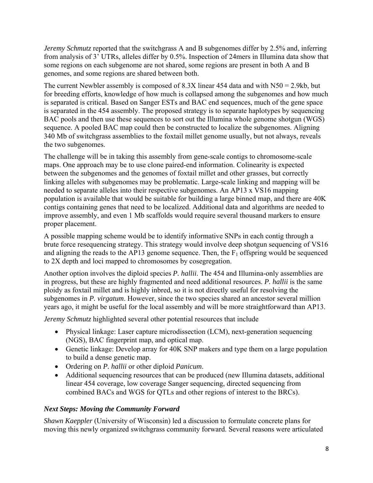*Jeremy Schmutz* reported that the switchgrass A and B subgenomes differ by 2.5% and, inferring from analysis of 3' UTRs, alleles differ by 0.5%. Inspection of 24mers in Illumina data show that some regions on each subgenome are not shared, some regions are present in both A and B genomes, and some regions are shared between both.

The current Newbler assembly is composed of 8.3X linear 454 data and with N50 = 2.9kb, but for breeding efforts, knowledge of how much is collapsed among the subgenomes and how much is separated is critical. Based on Sanger ESTs and BAC end sequences, much of the gene space is separated in the 454 assembly. The proposed strategy is to separate haplotypes by sequencing BAC pools and then use these sequences to sort out the Illumina whole genome shotgun (WGS) sequence. A pooled BAC map could then be constructed to localize the subgenomes. Aligning 340 Mb of switchgrass assemblies to the foxtail millet genome usually, but not always, reveals the two subgenomes.

The challenge will be in taking this assembly from gene-scale contigs to chromosome-scale maps. One approach may be to use clone paired-end information. Colinearity is expected between the subgenomes and the genomes of foxtail millet and other grasses, but correctly linking alleles with subgenomes may be problematic. Large-scale linking and mapping will be needed to separate alleles into their respective subgenomes. An AP13 x VS16 mapping population is available that would be suitable for building a large binned map, and there are 40K contigs containing genes that need to be localized. Additional data and algorithms are needed to improve assembly, and even 1 Mb scaffolds would require several thousand markers to ensure proper placement.

A possible mapping scheme would be to identify informative SNPs in each contig through a brute force resequencing strategy. This strategy would involve deep shotgun sequencing of VS16 and aligning the reads to the AP13 genome sequence. Then, the  $F_1$  offspring would be sequenced to 2X depth and loci mapped to chromosomes by cosegregation.

Another option involves the diploid species *P. hallii*. The 454 and Illumina-only assemblies are in progress, but these are highly fragmented and need additional resources. *P. hallii* is the same ploidy as foxtail millet and is highly inbred, so it is not directly useful for resolving the subgenomes in *P. virgatum*. However, since the two species shared an ancestor several million years ago, it might be useful for the local assembly and will be more straightforward than AP13.

*Jeremy Schmutz* highlighted several other potential resources that include

- Physical linkage: Laser capture microdissection (LCM), next-generation sequencing (NGS), BAC fingerprint map, and optical map.
- Genetic linkage: Develop array for 40K SNP makers and type them on a large population to build a dense genetic map.
- Ordering on *P. hallii* or other diploid *Panicum*.
- Additional sequencing resources that can be produced (new Illumina datasets, additional linear 454 coverage, low coverage Sanger sequencing, directed sequencing from combined BACs and WGS for QTLs and other regions of interest to the BRCs).

## *Next Steps: Moving the Community Forward*

*Shawn Kaeppler* (University of Wisconsin) led a discussion to formulate concrete plans for moving this newly organized switchgrass community forward. Several reasons were articulated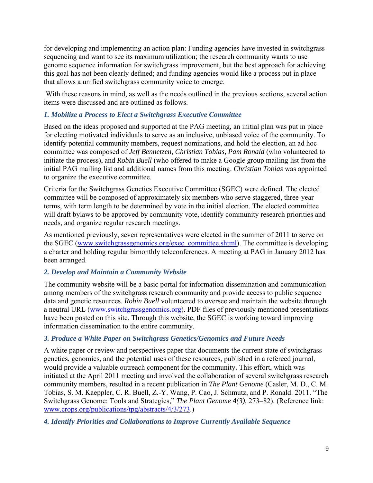for developing and implementing an action plan: Funding agencies have invested in switchgrass sequencing and want to see its maximum utilization; the research community wants to use genome sequence information for switchgrass improvement, but the best approach for achieving this goal has not been clearly defined; and funding agencies would like a process put in place that allows a unified switchgrass community voice to emerge.

 With these reasons in mind, as well as the needs outlined in the previous sections, several action items were discussed and are outlined as follows.

## *1. Mobilize a Process to Elect a Switchgrass Executive Committee*

Based on the ideas proposed and supported at the PAG meeting, an initial plan was put in place for electing motivated individuals to serve as an inclusive, unbiased voice of the community. To identify potential community members, request nominations, and hold the election, an ad hoc committee was composed of *Jeff Bennetzen, Christian Tobias, Pam Ronald* (who volunteered to initiate the process), and *Robin Buell* (who offered to make a Google group mailing list from the initial PAG mailing list and additional names from this meeting. *Christian Tobias* was appointed to organize the executive committee.

Criteria for the Switchgrass Genetics Executive Committee (SGEC) were defined. The elected committee will be composed of approximately six members who serve staggered, three-year terms, with term length to be determined by vote in the initial election. The elected committee will draft bylaws to be approved by community vote, identify community research priorities and needs, and organize regular research meetings.

As mentioned previously, seven representatives were elected in the summer of 2011 to serve on the SGEC (www.switchgrassgenomics.org/exec\_committee.shtml). The committee is developing a charter and holding regular bimonthly teleconferences. A meeting at PAG in January 2012 has been arranged.

## *2. Develop and Maintain a Community Website*

The community website will be a basic portal for information dissemination and communication among members of the switchgrass research community and provide access to public sequence data and genetic resources. *Robin Buell* volunteered to oversee and maintain the website through a neutral URL (www.switchgrassgenomics.org). PDF files of previously mentioned presentations have been posted on this site. Through this website, the SGEC is working toward improving information dissemination to the entire community.

## *3. Produce a White Paper on Switchgrass Genetics/Genomics and Future Needs*

A white paper or review and perspectives paper that documents the current state of switchgrass genetics, genomics, and the potential uses of these resources, published in a refereed journal, would provide a valuable outreach component for the community. This effort, which was initiated at the April 2011 meeting and involved the collaboration of several switchgrass research community members, resulted in a recent publication in *The Plant Genome* (Casler, M. D., C. M. Tobias, S. M. Kaeppler, C. R. Buell, Z.-Y. Wang, P. Cao, J. Schmutz, and P. Ronald. 2011. "The Switchgrass Genome: Tools and Strategies," *The Plant Genome* **4***(3)*, 273–82). (Reference link: www.crops.org/publications/tpg/abstracts/4/3/273.)

## *4. Identify Priorities and Collaborations to Improve Currently Available Sequence*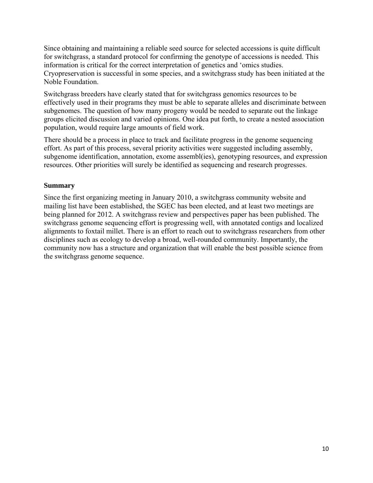Since obtaining and maintaining a reliable seed source for selected accessions is quite difficult for switchgrass, a standard protocol for confirming the genotype of accessions is needed. This information is critical for the correct interpretation of genetics and 'omics studies. Cryopreservation is successful in some species, and a switchgrass study has been initiated at the Noble Foundation.

Switchgrass breeders have clearly stated that for switchgrass genomics resources to be effectively used in their programs they must be able to separate alleles and discriminate between subgenomes. The question of how many progeny would be needed to separate out the linkage groups elicited discussion and varied opinions. One idea put forth, to create a nested association population, would require large amounts of field work.

There should be a process in place to track and facilitate progress in the genome sequencing effort. As part of this process, several priority activities were suggested including assembly, subgenome identification, annotation, exome assembl(ies), genotyping resources, and expression resources. Other priorities will surely be identified as sequencing and research progresses.

## **Summary**

Since the first organizing meeting in January 2010, a switchgrass community website and mailing list have been established, the SGEC has been elected, and at least two meetings are being planned for 2012. A switchgrass review and perspectives paper has been published. The switchgrass genome sequencing effort is progressing well, with annotated contigs and localized alignments to foxtail millet. There is an effort to reach out to switchgrass researchers from other disciplines such as ecology to develop a broad, well-rounded community. Importantly, the community now has a structure and organization that will enable the best possible science from the switchgrass genome sequence.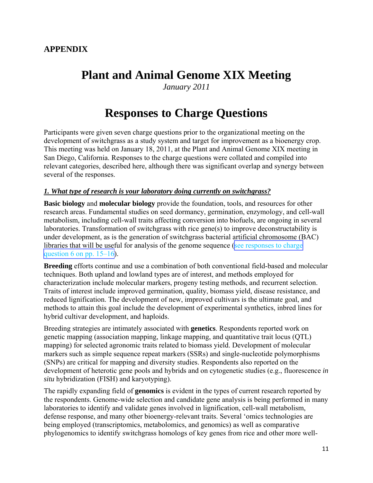# <span id="page-10-0"></span>**Plant and Animal Genome XIX Meeting**

*January 2011*

# **Responses to Charge Questions**

Participants were given seven charge questions prior to the organizational meeting on the development of switchgrass as a study system and target for improvement as a bioenergy crop. This meeting was held on January 18, 2011, at the Plant and Animal Genome XIX meeting in San Diego, California. Responses to the charge questions were collated and compiled into relevant categories, described here, although there was significant overlap and synergy between several of the responses.

#### *1. What type of research is your laboratory doing currently on switchgrass?*

**Basic biology** and **molecular biology** provide the foundation, tools, and resources for other research areas. Fundamental studies on seed dormancy, germination, enzymology, and cell-wall metabolism, including cell-wall traits affecting conversion into biofuels, are ongoing in several laboratories. Transformation of switchgrass with rice gene(s) to improve deconstructability is under development, as is the generation of switchgrass bacterial artificial chromosome (BAC) libraries that will be useful for analysis of the genome sequence ([see responses to charge](#page-14-0) question 6 on pp.  $15-16$ ).

**Breeding** efforts continue and use a combination of both conventional field-based and molecular techniques. Both upland and lowland types are of interest, and methods employed for characterization include molecular markers, progeny testing methods, and recurrent selection. Traits of interest include improved germination, quality, biomass yield, disease resistance, and reduced lignification. The development of new, improved cultivars is the ultimate goal, and methods to attain this goal include the development of experimental synthetics, inbred lines for hybrid cultivar development, and haploids.

Breeding strategies are intimately associated with **genetics**. Respondents reported work on genetic mapping (association mapping, linkage mapping, and quantitative trait locus (QTL) mapping) for selected agronomic traits related to biomass yield. Development of molecular markers such as simple sequence repeat markers (SSRs) and single-nucleotide polymorphisms (SNPs) are critical for mapping and diversity studies. Respondents also reported on the development of heterotic gene pools and hybrids and on cytogenetic studies (e.g., fluorescence *in situ* hybridization (FISH) and karyotyping).

The rapidly expanding field of **genomics** is evident in the types of current research reported by the respondents. Genome-wide selection and candidate gene analysis is being performed in many laboratories to identify and validate genes involved in lignification, cell-wall metabolism, defense response, and many other bioenergy-relevant traits. Several 'omics technologies are being employed (transcriptomics, metabolomics, and genomics) as well as comparative phylogenomics to identify switchgrass homologs of key genes from rice and other more well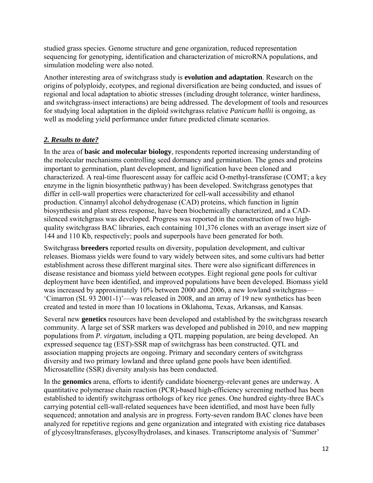studied grass species. Genome structure and gene organization, reduced representation sequencing for genotyping, identification and characterization of microRNA populations, and simulation modeling were also noted.

Another interesting area of switchgrass study is **evolution and adaptation**. Research on the origins of polyploidy, ecotypes, and regional diversification are being conducted, and issues of regional and local adaptation to abiotic stresses (including drought tolerance, winter hardiness, and switchgrass-insect interactions) are being addressed. The development of tools and resources for studying local adaptation in the diploid switchgrass relative *Panicum hallii* is ongoing, as well as modeling yield performance under future predicted climate scenarios.

## *2. Results to date?*

In the area of **basic and molecular biology**, respondents reported increasing understanding of the molecular mechanisms controlling seed dormancy and germination. The genes and proteins important to germination, plant development, and lignification have been cloned and characterized. A real-time fluorescent assay for caffeic acid O-methyl-transferase (COMT; a key enzyme in the lignin biosynthetic pathway) has been developed. Switchgrass genotypes that differ in cell-wall properties were characterized for cell-wall accessibility and ethanol production. Cinnamyl alcohol dehydrogenase (CAD) proteins, which function in lignin biosynthesis and plant stress response, have been biochemically characterized, and a CADsilenced switchgrass was developed. Progress was reported in the construction of two highquality switchgrass BAC libraries, each containing 101,376 clones with an average insert size of 144 and 110 Kb, respectively; pools and superpools have been generated for both.

Switchgrass **breeders** reported results on diversity, population development, and cultivar releases. Biomass yields were found to vary widely between sites, and some cultivars had better establishment across these different marginal sites. There were also significant differences in disease resistance and biomass yield between ecotypes. Eight regional gene pools for cultivar deployment have been identified, and improved populations have been developed. Biomass yield was increased by approximately 10% between 2000 and 2006, a new lowland switchgrass— 'Cimarron (SL 93 2001-1)'—was released in 2008, and an array of 19 new synthetics has been created and tested in more than 10 locations in Oklahoma, Texas, Arkansas, and Kansas.

Several new **genetics** resources have been developed and established by the switchgrass research community. A large set of SSR markers was developed and published in 2010, and new mapping populations from *P. virgatum*, including a QTL mapping population, are being developed. An expressed sequence tag (EST)-SSR map of switchgrass has been constructed. QTL and association mapping projects are ongoing. Primary and secondary centers of switchgrass diversity and two primary lowland and three upland gene pools have been identified. Microsatellite (SSR) diversity analysis has been conducted.

In the **genomics** arena, efforts to identify candidate bioenergy-relevant genes are underway. A quantitative polymerase chain reaction (PCR)-based high-efficiency screening method has been established to identify switchgrass orthologs of key rice genes. One hundred eighty-three BACs carrying potential cell-wall-related sequences have been identified, and most have been fully sequenced; annotation and analysis are in progress. Forty-seven random BAC clones have been analyzed for repetitive regions and gene organization and integrated with existing rice databases of glycosyltransferases, glycosylhydrolases, and kinases. Transcriptome analysis of 'Summer'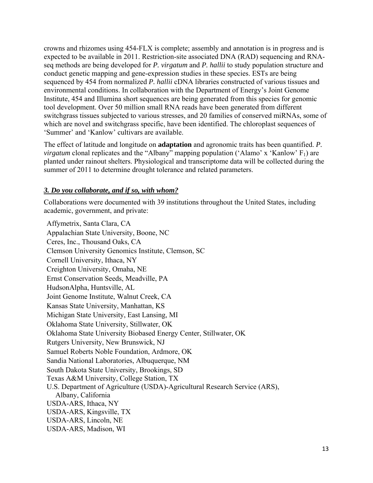crowns and rhizomes using 454-FLX is complete; assembly and annotation is in progress and is expected to be available in 2011. Restriction-site associated DNA (RAD) sequencing and RNAseq methods are being developed for *P. virgatum* and *P. hallii* to study population structure and conduct genetic mapping and gene-expression studies in these species. ESTs are being sequenced by 454 from normalized *P. hallii* cDNA libraries constructed of various tissues and environmental conditions. In collaboration with the Department of Energy's Joint Genome Institute, 454 and Illumina short sequences are being generated from this species for genomic tool development. Over 50 million small RNA reads have been generated from different switchgrass tissues subjected to various stresses, and 20 families of conserved miRNAs, some of which are novel and switchgrass specific, have been identified. The chloroplast sequences of 'Summer' and 'Kanlow' cultivars are available.

The effect of latitude and longitude on **adaptation** and agronomic traits has been quantified. *P. virgatum* clonal replicates and the "Albany" mapping population ('Alamo' x 'Kanlow'  $F_1$ ) are planted under rainout shelters. Physiological and transcriptome data will be collected during the summer of 2011 to determine drought tolerance and related parameters.

## *3. Do you collaborate, and if so, with whom?*

Collaborations were documented with 39 institutions throughout the United States, including academic, government, and private:

Affymetrix, Santa Clara, CA Appalachian State University, Boone, NC Ceres, Inc., Thousand Oaks, CA Clemson University Genomics Institute, Clemson, SC Cornell University, Ithaca, NY Creighton University, Omaha, NE Ernst Conservation Seeds, Meadville, PA HudsonAlpha, Huntsville, AL Joint Genome Institute, Walnut Creek, CA Kansas State University, Manhattan, KS Michigan State University, East Lansing, MI Oklahoma State University, Stillwater, OK Oklahoma State University Biobased Energy Center, Stillwater, OK Rutgers University, New Brunswick, NJ Samuel Roberts Noble Foundation, Ardmore, OK Sandia National Laboratories, Albuquerque, NM South Dakota State University, Brookings, SD Texas A&M University, College Station, TX U.S. Department of Agriculture (USDA)-Agricultural Research Service (ARS), Albany, California USDA-ARS, Ithaca, NY USDA-ARS, Kingsville, TX USDA-ARS, Lincoln, NE USDA-ARS, Madison, WI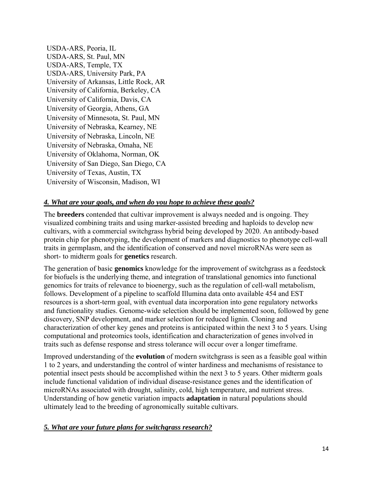USDA-ARS, Peoria, IL USDA-ARS, St. Paul, MN USDA-ARS, Temple, TX USDA-ARS, University Park, PA University of Arkansas, Little Rock, AR University of California, Berkeley, CA University of California, Davis, CA University of Georgia, Athens, GA University of Minnesota, St. Paul, MN University of Nebraska, Kearney, NE University of Nebraska, Lincoln, NE University of Nebraska, Omaha, NE University of Oklahoma, Norman, OK University of San Diego, San Diego, CA University of Texas, Austin, TX University of Wisconsin, Madison, WI

## *4. What are your goals, and when do you hope to achieve these goals?*

The **breeders** contended that cultivar improvement is always needed and is ongoing. They visualized combining traits and using marker-assisted breeding and haploids to develop new cultivars, with a commercial switchgrass hybrid being developed by 2020. An antibody-based protein chip for phenotyping, the development of markers and diagnostics to phenotype cell-wall traits in germplasm, and the identification of conserved and novel microRNAs were seen as short- to midterm goals for **genetics** research.

The generation of basic **genomics** knowledge for the improvement of switchgrass as a feedstock for biofuels is the underlying theme, and integration of translational genomics into functional genomics for traits of relevance to bioenergy, such as the regulation of cell-wall metabolism, follows. Development of a pipeline to scaffold Illumina data onto available 454 and EST resources is a short-term goal, with eventual data incorporation into gene regulatory networks and functionality studies. Genome-wide selection should be implemented soon, followed by gene discovery, SNP development, and marker selection for reduced lignin. Cloning and characterization of other key genes and proteins is anticipated within the next 3 to 5 years. Using computational and proteomics tools, identification and characterization of genes involved in traits such as defense response and stress tolerance will occur over a longer timeframe.

Improved understanding of the **evolution** of modern switchgrass is seen as a feasible goal within 1 to 2 years, and understanding the control of winter hardiness and mechanisms of resistance to potential insect pests should be accomplished within the next 3 to 5 years. Other midterm goals include functional validation of individual disease-resistance genes and the identification of microRNAs associated with drought, salinity, cold, high temperature, and nutrient stress. Understanding of how genetic variation impacts **adaptation** in natural populations should ultimately lead to the breeding of agronomically suitable cultivars.

## *5. What are your future plans for switchgrass research?*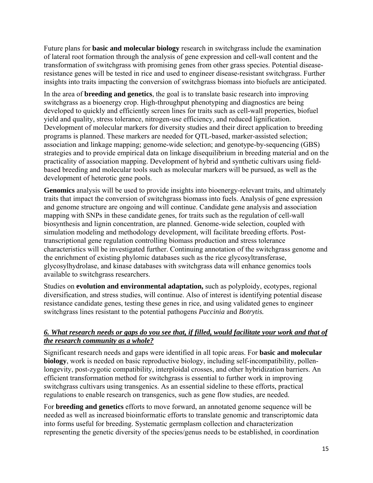<span id="page-14-0"></span>Future plans for **basic and molecular biology** research in switchgrass include the examination of lateral root formation through the analysis of gene expression and cell-wall content and the transformation of switchgrass with promising genes from other grass species. Potential diseaseresistance genes will be tested in rice and used to engineer disease-resistant switchgrass. Further insights into traits impacting the conversion of switchgrass biomass into biofuels are anticipated.

In the area of **breeding and genetics**, the goal is to translate basic research into improving switchgrass as a bioenergy crop. High-throughput phenotyping and diagnostics are being developed to quickly and efficiently screen lines for traits such as cell-wall properties, biofuel yield and quality, stress tolerance, nitrogen-use efficiency, and reduced lignification. Development of molecular markers for diversity studies and their direct application to breeding programs is planned. These markers are needed for QTL-based, marker-assisted selection; association and linkage mapping; genome-wide selection; and genotype-by-sequencing (GBS) strategies and to provide empirical data on linkage disequilibrium in breeding material and on the practicality of association mapping. Development of hybrid and synthetic cultivars using fieldbased breeding and molecular tools such as molecular markers will be pursued, as well as the development of heterotic gene pools.

**Genomics** analysis will be used to provide insights into bioenergy-relevant traits, and ultimately traits that impact the conversion of switchgrass biomass into fuels. Analysis of gene expression and genome structure are ongoing and will continue. Candidate gene analysis and association mapping with SNPs in these candidate genes, for traits such as the regulation of cell-wall biosynthesis and lignin concentration, are planned. Genome-wide selection, coupled with simulation modeling and methodology development, will facilitate breeding efforts. Posttranscriptional gene regulation controlling biomass production and stress tolerance characteristics will be investigated further. Continuing annotation of the switchgrass genome and the enrichment of existing phylomic databases such as the rice glycosyltransferase, glycosylhydrolase, and kinase databases with switchgrass data will enhance genomics tools available to switchgrass researchers.

Studies on **evolution and environmental adaptation,** such as polyploidy, ecotypes, regional diversification, and stress studies, will continue. Also of interest is identifying potential disease resistance candidate genes, testing these genes in rice, and using validated genes to engineer switchgrass lines resistant to the potential pathogens *Puccinia* and *Botrytis.*

## *6. What research needs or gaps do you see that, if filled, would facilitate your work and that of the research community as a whole?*

Significant research needs and gaps were identified in all topic areas. For **basic and molecular biology**, work is needed on basic reproductive biology, including self-incompatibility, pollenlongevity, post-zygotic compatibility, interploidal crosses, and other hybridization barriers. An efficient transformation method for switchgrass is essential to further work in improving switchgrass cultivars using transgenics. As an essential sideline to these efforts, practical regulations to enable research on transgenics, such as gene flow studies, are needed.

For **breeding and genetics** efforts to move forward, an annotated genome sequence will be needed as well as increased bioinformatic efforts to translate genomic and transcriptomic data into forms useful for breeding. Systematic germplasm collection and characterization representing the genetic diversity of the species/genus needs to be established, in coordination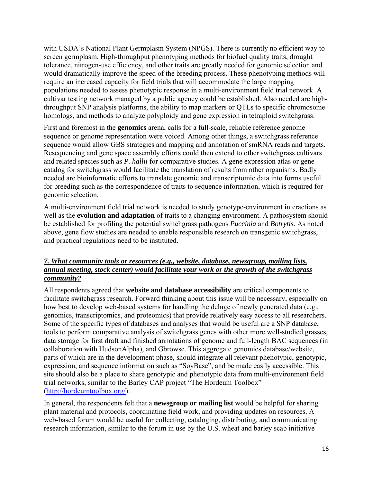with USDA's National Plant Germplasm System (NPGS). There is currently no efficient way to screen germplasm. High-throughput phenotyping methods for biofuel quality traits, drought tolerance, nitrogen-use efficiency, and other traits are greatly needed for genomic selection and would dramatically improve the speed of the breeding process. These phenotyping methods will require an increased capacity for field trials that will accommodate the large mapping populations needed to assess phenotypic response in a multi-environment field trial network. A cultivar testing network managed by a public agency could be established. Also needed are highthroughput SNP analysis platforms, the ability to map markers or QTLs to specific chromosome homologs, and methods to analyze polyploidy and gene expression in tetraploid switchgrass.

First and foremost in the **genomics** arena, calls for a full-scale, reliable reference genome sequence or genome representation were voiced. Among other things, a switchgrass reference sequence would allow GBS strategies and mapping and annotation of smRNA reads and targets. Resequencing and gene space assembly efforts could then extend to other switchgrass cultivars and related species such as *P. hallii* for comparative studies. A gene expression atlas or gene catalog for switchgrass would facilitate the translation of results from other organisms. Badly needed are bioinformatic efforts to translate genomic and transcriptomic data into forms useful for breeding such as the correspondence of traits to sequence information, which is required for genomic selection.

A multi-environment field trial network is needed to study genotype-environment interactions as well as the **evolution and adaptation** of traits to a changing environment. A pathosystem should be established for profiling the potential switchgrass pathogens *Puccinia* and *Botrytis*. As noted above, gene flow studies are needed to enable responsible research on transgenic switchgrass, and practical regulations need to be instituted.

## *7. What community tools or resources (e.g., website, database, newsgroup, mailing lists, annual meeting, stock center) would facilitate your work or the growth of the switchgrass community?*

All respondents agreed that **website and database accessibility** are critical components to facilitate switchgrass research. Forward thinking about this issue will be necessary, especially on how best to develop web-based systems for handling the deluge of newly generated data (e.g., genomics, transcriptomics, and proteomics) that provide relatively easy access to all researchers. Some of the specific types of databases and analyses that would be useful are a SNP database, tools to perform comparative analysis of switchgrass genes with other more well-studied grasses, data storage for first draft and finished annotations of genome and full-length BAC sequences (in collaboration with HudsonAlpha), and Gbrowse. This aggregate genomics database/website, parts of which are in the development phase, should integrate all relevant phenotypic, genotypic, expression, and sequence information such as "SoyBase", and be made easily accessible. This site should also be a place to share genotypic and phenotypic data from multi-environment field trial networks, similar to the Barley CAP project "The Hordeum Toolbox" (http://hordeumtoolbox.org/).

In general, the respondents felt that a **newsgroup or mailing list** would be helpful for sharing plant material and protocols, coordinating field work, and providing updates on resources. A web-based forum would be useful for collecting, cataloging, distributing, and communicating research information, similar to the forum in use by the U.S. wheat and barley scab initiative